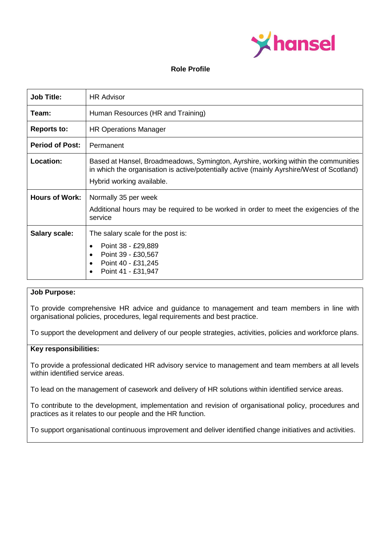

#### **Role Profile**

| <b>Job Title:</b>      | <b>HR Advisor</b>                                                                                                                                                                                            |
|------------------------|--------------------------------------------------------------------------------------------------------------------------------------------------------------------------------------------------------------|
| Team:                  | Human Resources (HR and Training)                                                                                                                                                                            |
| <b>Reports to:</b>     | <b>HR Operations Manager</b>                                                                                                                                                                                 |
| <b>Period of Post:</b> | Permanent                                                                                                                                                                                                    |
| Location:              | Based at Hansel, Broadmeadows, Symington, Ayrshire, working within the communities<br>in which the organisation is active/potentially active (mainly Ayrshire/West of Scotland)<br>Hybrid working available. |
| <b>Hours of Work:</b>  | Normally 35 per week<br>Additional hours may be required to be worked in order to meet the exigencies of the<br>service                                                                                      |
| <b>Salary scale:</b>   | The salary scale for the post is:<br>Point 38 - £29,889<br>$\bullet$<br>Point 39 - £30,567<br>Point 40 - £31,245<br>Point 41 - £31,947                                                                       |

### **Job Purpose:**

To provide comprehensive HR advice and guidance to management and team members in line with organisational policies, procedures, legal requirements and best practice.

To support the development and delivery of our people strategies, activities, policies and workforce plans.

#### **Key responsibilities:**

To provide a professional dedicated HR advisory service to management and team members at all levels within identified service areas.

To lead on the management of casework and delivery of HR solutions within identified service areas.

To contribute to the development, implementation and revision of organisational policy, procedures and practices as it relates to our people and the HR function.

To support organisational continuous improvement and deliver identified change initiatives and activities.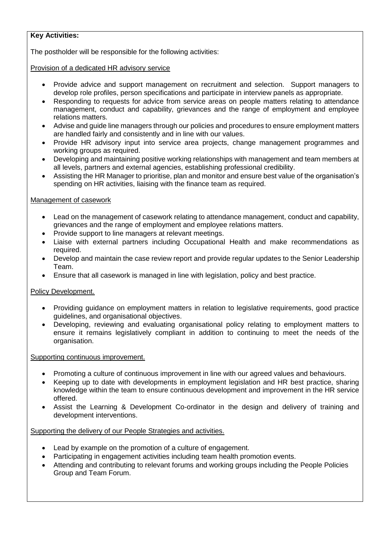# **Key Activities:**

The postholder will be responsible for the following activities:

### Provision of a dedicated HR advisory service

- Provide advice and support management on recruitment and selection. Support managers to develop role profiles, person specifications and participate in interview panels as appropriate.
- Responding to requests for advice from service areas on people matters relating to attendance management, conduct and capability, grievances and the range of employment and employee relations matters.
- Advise and guide line managers through our policies and procedures to ensure employment matters are handled fairly and consistently and in line with our values.
- Provide HR advisory input into service area projects, change management programmes and working groups as required.
- Developing and maintaining positive working relationships with management and team members at all levels, partners and external agencies, establishing professional credibility.
- Assisting the HR Manager to prioritise, plan and monitor and ensure best value of the organisation's spending on HR activities, liaising with the finance team as required.

### Management of casework

- Lead on the management of casework relating to attendance management, conduct and capability, grievances and the range of employment and employee relations matters.
- Provide support to line managers at relevant meetings.
- Liaise with external partners including Occupational Health and make recommendations as required.
- Develop and maintain the case review report and provide regular updates to the Senior Leadership Team.
- Ensure that all casework is managed in line with legislation, policy and best practice.

# Policy Development.

- Providing guidance on employment matters in relation to legislative requirements, good practice guidelines, and organisational objectives.
- Developing, reviewing and evaluating organisational policy relating to employment matters to ensure it remains legislatively compliant in addition to continuing to meet the needs of the organisation.

#### Supporting continuous improvement.

- Promoting a culture of continuous improvement in line with our agreed values and behaviours.
- Keeping up to date with developments in employment legislation and HR best practice, sharing knowledge within the team to ensure continuous development and improvement in the HR service offered.
- Assist the Learning & Development Co-ordinator in the design and delivery of training and development interventions.

# Supporting the delivery of our People Strategies and activities.

- Lead by example on the promotion of a culture of engagement.
- Participating in engagement activities including team health promotion events.
- Attending and contributing to relevant forums and working groups including the People Policies Group and Team Forum.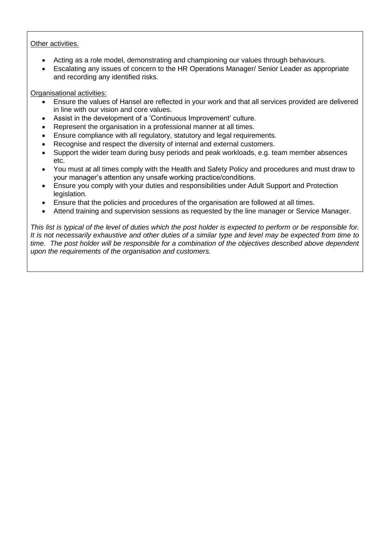# Other activities.

- Acting as a role model, demonstrating and championing our values through behaviours.
- Escalating any issues of concern to the HR Operations Manager/ Senior Leader as appropriate and recording any identified risks.

Organisational activities:

- Ensure the values of Hansel are reflected in your work and that all services provided are delivered in line with our vision and core values.
- Assist in the development of a 'Continuous Improvement' culture.
- Represent the organisation in a professional manner at all times.
- Ensure compliance with all regulatory, statutory and legal requirements.
- Recognise and respect the diversity of internal and external customers.
- Support the wider team during busy periods and peak workloads, e.g. team member absences etc.
- You must at all times comply with the Health and Safety Policy and procedures and must draw to your manager's attention any unsafe working practice/conditions.
- Ensure you comply with your duties and responsibilities under Adult Support and Protection legislation.
- Ensure that the policies and procedures of the organisation are followed at all times.
- Attend training and supervision sessions as requested by the line manager or Service Manager.

*This list is typical of the level of duties which the post holder is expected to perform or be responsible for. It is not necessarily exhaustive and other duties of a similar type and level may be expected from time to time. The post holder will be responsible for a combination of the objectives described above dependent upon the requirements of the organisation and customers.*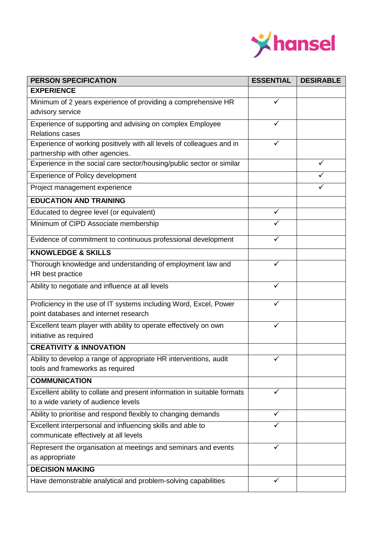

| <b>PERSON SPECIFICATION</b>                                                                               | <b>ESSENTIAL</b> | <b>DESIRABLE</b> |
|-----------------------------------------------------------------------------------------------------------|------------------|------------------|
| <b>EXPERIENCE</b>                                                                                         |                  |                  |
| Minimum of 2 years experience of providing a comprehensive HR                                             | ✓                |                  |
| advisory service                                                                                          |                  |                  |
| Experience of supporting and advising on complex Employee                                                 | ✓                |                  |
| <b>Relations cases</b>                                                                                    |                  |                  |
| Experience of working positively with all levels of colleagues and in                                     | ✓                |                  |
| partnership with other agencies.<br>Experience in the social care sector/housing/public sector or similar |                  | ✓                |
|                                                                                                           |                  |                  |
| <b>Experience of Policy development</b>                                                                   |                  |                  |
| Project management experience                                                                             |                  |                  |
| <b>EDUCATION AND TRAINING</b>                                                                             |                  |                  |
| Educated to degree level (or equivalent)                                                                  | ✓                |                  |
| Minimum of CIPD Associate membership                                                                      |                  |                  |
| Evidence of commitment to continuous professional development                                             |                  |                  |
| <b>KNOWLEDGE &amp; SKILLS</b>                                                                             |                  |                  |
| Thorough knowledge and understanding of employment law and                                                |                  |                  |
| HR best practice                                                                                          |                  |                  |
| Ability to negotiate and influence at all levels                                                          | ✓                |                  |
| Proficiency in the use of IT systems including Word, Excel, Power                                         |                  |                  |
| point databases and internet research                                                                     |                  |                  |
| Excellent team player with ability to operate effectively on own                                          | ✓                |                  |
| initiative as required                                                                                    |                  |                  |
| <b>CREATIVITY &amp; INNOVATION</b>                                                                        |                  |                  |
| Ability to develop a range of appropriate HR interventions, audit                                         | $\checkmark$     |                  |
| tools and frameworks as required                                                                          |                  |                  |
| <b>COMMUNICATION</b>                                                                                      |                  |                  |
| Excellent ability to collate and present information in suitable formats                                  | ✓                |                  |
| to a wide variety of audience levels                                                                      |                  |                  |
| Ability to prioritise and respond flexibly to changing demands                                            | ✓                |                  |
| Excellent interpersonal and influencing skills and able to                                                | ✓                |                  |
| communicate effectively at all levels                                                                     |                  |                  |
| Represent the organisation at meetings and seminars and events                                            | ✓                |                  |
| as appropriate                                                                                            |                  |                  |
| <b>DECISION MAKING</b>                                                                                    |                  |                  |
| Have demonstrable analytical and problem-solving capabilities                                             | ✓                |                  |